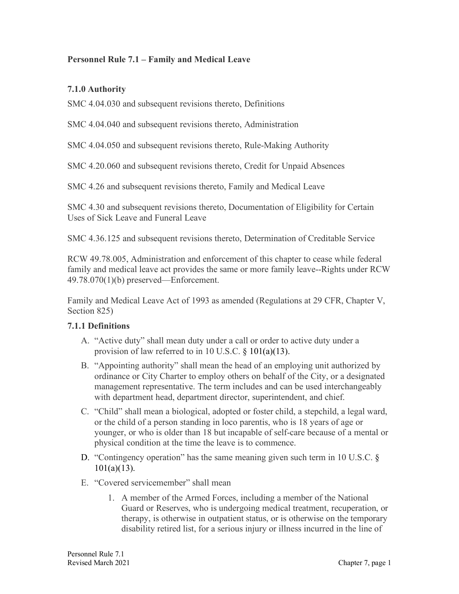## **Personnel Rule 7.1 – Family and Medical Leave**

## **7.1.0 Authority**

SMC 4.04.030 and subsequent revisions thereto, Definitions

SMC 4.04.040 and subsequent revisions thereto, Administration

SMC 4.04.050 and subsequent revisions thereto, Rule-Making Authority

SMC 4.20.060 and subsequent revisions thereto, Credit for Unpaid Absences

SMC 4.26 and subsequent revisions thereto, Family and Medical Leave

SMC 4.30 and subsequent revisions thereto, Documentation of Eligibility for Certain Uses of Sick Leave and Funeral Leave

SMC 4.36.125 and subsequent revisions thereto, Determination of Creditable Service

RCW 49.78.005, Administration and enforcement of this chapter to cease while federal family and medical leave act provides the same or more family leave--Rights under RCW 49.78.070(1)(b) preserved—Enforcement.

Family and Medical Leave Act of 1993 as amended (Regulations at 29 CFR, Chapter V, Section 825)

#### **7.1.1 Definitions**

- A. "Active duty" shall mean duty under a call or order to active duty under a provision of law referred to in 10 U.S.C. § 101(a)(13).
- B. "Appointing authority" shall mean the head of an employing unit authorized by ordinance or City Charter to employ others on behalf of the City, or a designated management representative. The term includes and can be used interchangeably with department head, department director, superintendent, and chief.
- C. "Child" shall mean a biological, adopted or foster child, a stepchild, a legal ward, or the child of a person standing in loco parentis, who is 18 years of age or younger, or who is older than 18 but incapable of self-care because of a mental or physical condition at the time the leave is to commence.
- D. "Contingency operation" has the same meaning given such term in 10 U.S.C. §  $101(a)(13)$ .
- E. "Covered servicemember" shall mean
	- 1. A member of the Armed Forces, including a member of the National Guard or Reserves, who is undergoing medical treatment, recuperation, or therapy, is otherwise in outpatient status, or is otherwise on the temporary disability retired list, for a serious injury or illness incurred in the line of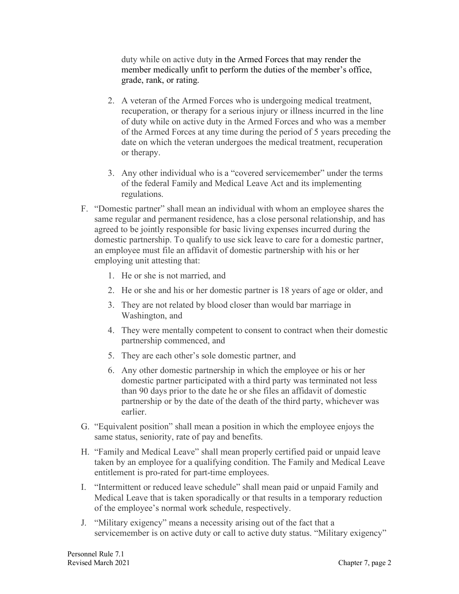duty while on active duty in the Armed Forces that may render the member medically unfit to perform the duties of the member's office, grade, rank, or rating.

- 2. A veteran of the Armed Forces who is undergoing medical treatment, recuperation, or therapy for a serious injury or illness incurred in the line of duty while on active duty in the Armed Forces and who was a member of the Armed Forces at any time during the period of 5 years preceding the date on which the veteran undergoes the medical treatment, recuperation or therapy.
- 3. Any other individual who is a "covered servicemember" under the terms of the federal Family and Medical Leave Act and its implementing regulations.
- F. "Domestic partner" shall mean an individual with whom an employee shares the same regular and permanent residence, has a close personal relationship, and has agreed to be jointly responsible for basic living expenses incurred during the domestic partnership. To qualify to use sick leave to care for a domestic partner, an employee must file an affidavit of domestic partnership with his or her employing unit attesting that:
	- 1. He or she is not married, and
	- 2. He or she and his or her domestic partner is 18 years of age or older, and
	- 3. They are not related by blood closer than would bar marriage in Washington, and
	- 4. They were mentally competent to consent to contract when their domestic partnership commenced, and
	- 5. They are each other's sole domestic partner, and
	- 6. Any other domestic partnership in which the employee or his or her domestic partner participated with a third party was terminated not less than 90 days prior to the date he or she files an affidavit of domestic partnership or by the date of the death of the third party, whichever was earlier.
- G. "Equivalent position" shall mean a position in which the employee enjoys the same status, seniority, rate of pay and benefits.
- H. "Family and Medical Leave" shall mean properly certified paid or unpaid leave taken by an employee for a qualifying condition. The Family and Medical Leave entitlement is pro-rated for part-time employees.
- I. "Intermittent or reduced leave schedule" shall mean paid or unpaid Family and Medical Leave that is taken sporadically or that results in a temporary reduction of the employee's normal work schedule, respectively.
- J. "Military exigency" means a necessity arising out of the fact that a servicemember is on active duty or call to active duty status. "Military exigency"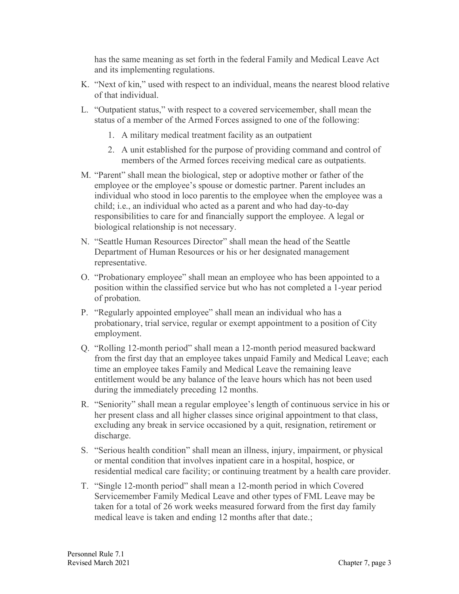has the same meaning as set forth in the federal Family and Medical Leave Act and its implementing regulations.

- K. "Next of kin," used with respect to an individual, means the nearest blood relative of that individual.
- L. "Outpatient status," with respect to a covered servicemember, shall mean the status of a member of the Armed Forces assigned to one of the following:
	- 1. A military medical treatment facility as an outpatient
	- 2. A unit established for the purpose of providing command and control of members of the Armed forces receiving medical care as outpatients.
- M. "Parent" shall mean the biological, step or adoptive mother or father of the employee or the employee's spouse or domestic partner. Parent includes an individual who stood in loco parentis to the employee when the employee was a child; i.e., an individual who acted as a parent and who had day-to-day responsibilities to care for and financially support the employee. A legal or biological relationship is not necessary.
- N. "Seattle Human Resources Director" shall mean the head of the Seattle Department of Human Resources or his or her designated management representative.
- O. "Probationary employee" shall mean an employee who has been appointed to a position within the classified service but who has not completed a 1-year period of probation.
- P. "Regularly appointed employee" shall mean an individual who has a probationary, trial service, regular or exempt appointment to a position of City employment.
- Q. "Rolling 12-month period" shall mean a 12-month period measured backward from the first day that an employee takes unpaid Family and Medical Leave; each time an employee takes Family and Medical Leave the remaining leave entitlement would be any balance of the leave hours which has not been used during the immediately preceding 12 months.
- R. "Seniority" shall mean a regular employee's length of continuous service in his or her present class and all higher classes since original appointment to that class, excluding any break in service occasioned by a quit, resignation, retirement or discharge.
- S. "Serious health condition" shall mean an illness, injury, impairment, or physical or mental condition that involves inpatient care in a hospital, hospice, or residential medical care facility; or continuing treatment by a health care provider.
- T. "Single 12-month period" shall mean a 12-month period in which Covered Servicemember Family Medical Leave and other types of FML Leave may be taken for a total of 26 work weeks measured forward from the first day family medical leave is taken and ending 12 months after that date.;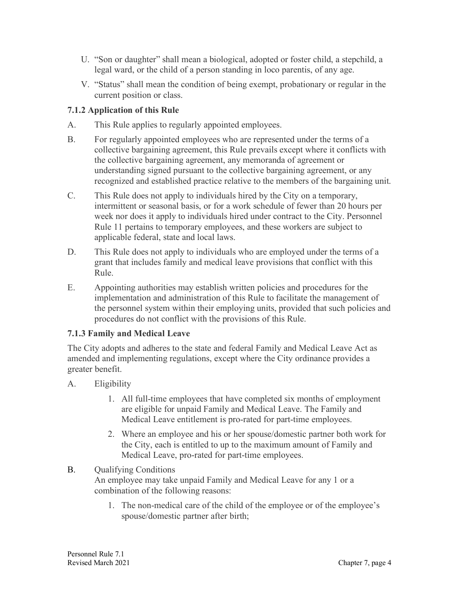- U. "Son or daughter" shall mean a biological, adopted or foster child, a stepchild, a legal ward, or the child of a person standing in loco parentis, of any age.
- V. "Status" shall mean the condition of being exempt, probationary or regular in the current position or class.

## **7.1.2 Application of this Rule**

- A. This Rule applies to regularly appointed employees.
- B. For regularly appointed employees who are represented under the terms of a collective bargaining agreement, this Rule prevails except where it conflicts with the collective bargaining agreement, any memoranda of agreement or understanding signed pursuant to the collective bargaining agreement, or any recognized and established practice relative to the members of the bargaining unit.
- C. This Rule does not apply to individuals hired by the City on a temporary, intermittent or seasonal basis, or for a work schedule of fewer than 20 hours per week nor does it apply to individuals hired under contract to the City. Personnel Rule 11 pertains to temporary employees, and these workers are subject to applicable federal, state and local laws.
- D. This Rule does not apply to individuals who are employed under the terms of a grant that includes family and medical leave provisions that conflict with this Rule.
- E. Appointing authorities may establish written policies and procedures for the implementation and administration of this Rule to facilitate the management of the personnel system within their employing units, provided that such policies and procedures do not conflict with the provisions of this Rule.

#### **7.1.3 Family and Medical Leave**

The City adopts and adheres to the state and federal Family and Medical Leave Act as amended and implementing regulations, except where the City ordinance provides a greater benefit.

- A. Eligibility
	- 1. All full-time employees that have completed six months of employment are eligible for unpaid Family and Medical Leave. The Family and Medical Leave entitlement is pro-rated for part-time employees.
	- 2. Where an employee and his or her spouse/domestic partner both work for the City, each is entitled to up to the maximum amount of Family and Medical Leave, pro-rated for part-time employees.

# B. Oualifying Conditions

An employee may take unpaid Family and Medical Leave for any 1 or a combination of the following reasons:

1. The non-medical care of the child of the employee or of the employee's spouse/domestic partner after birth;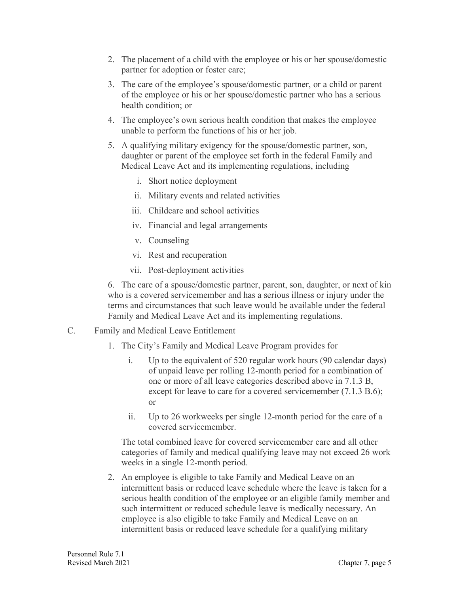- 2. The placement of a child with the employee or his or her spouse/domestic partner for adoption or foster care;
- 3. The care of the employee's spouse/domestic partner, or a child or parent of the employee or his or her spouse/domestic partner who has a serious health condition; or
- 4. The employee's own serious health condition that makes the employee unable to perform the functions of his or her job.
- 5. A qualifying military exigency for the spouse/domestic partner, son, daughter or parent of the employee set forth in the federal Family and Medical Leave Act and its implementing regulations, including
	- i. Short notice deployment
	- ii. Military events and related activities
	- iii. Childcare and school activities
	- iv. Financial and legal arrangements
	- v. Counseling
	- vi. Rest and recuperation
	- vii. Post-deployment activities

6. The care of a spouse/domestic partner, parent, son, daughter, or next of kin who is a covered servicemember and has a serious illness or injury under the terms and circumstances that such leave would be available under the federal Family and Medical Leave Act and its implementing regulations.

- C. Family and Medical Leave Entitlement
	- 1. The City's Family and Medical Leave Program provides for
		- i. Up to the equivalent of 520 regular work hours (90 calendar days) of unpaid leave per rolling 12-month period for a combination of one or more of all leave categories described above in 7.1.3 B, except for leave to care for a covered servicemember (7.1.3 B.6); or
		- ii. Up to 26 workweeks per single 12-month period for the care of a covered servicemember.

The total combined leave for covered servicemember care and all other categories of family and medical qualifying leave may not exceed 26 work weeks in a single 12-month period.

2. An employee is eligible to take Family and Medical Leave on an intermittent basis or reduced leave schedule where the leave is taken for a serious health condition of the employee or an eligible family member and such intermittent or reduced schedule leave is medically necessary. An employee is also eligible to take Family and Medical Leave on an intermittent basis or reduced leave schedule for a qualifying military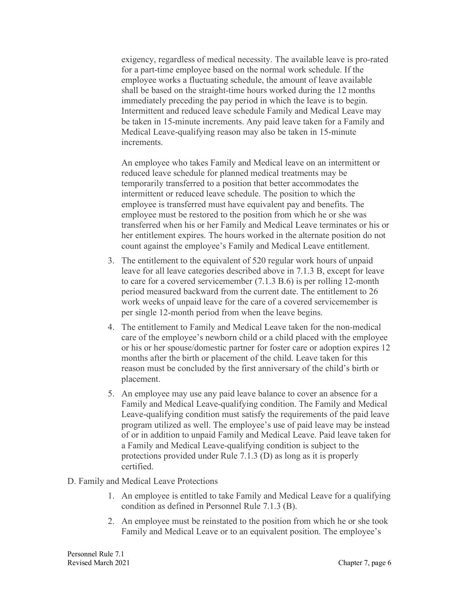exigency, regardless of medical necessity. The available leave is pro-rated for a part-time employee based on the normal work schedule. If the employee works a fluctuating schedule, the amount of leave available shall be based on the straight-time hours worked during the 12 months immediately preceding the pay period in which the leave is to begin. Intermittent and reduced leave schedule Family and Medical Leave may be taken in 15-minute increments. Any paid leave taken for a Family and Medical Leave-qualifying reason may also be taken in 15-minute increments.

An employee who takes Family and Medical leave on an intermittent or reduced leave schedule for planned medical treatments may be temporarily transferred to a position that better accommodates the intermittent or reduced leave schedule. The position to which the employee is transferred must have equivalent pay and benefits. The employee must be restored to the position from which he or she was transferred when his or her Family and Medical Leave terminates or his or her entitlement expires. The hours worked in the alternate position do not count against the employee's Family and Medical Leave entitlement.

- 3. The entitlement to the equivalent of 520 regular work hours of unpaid leave for all leave categories described above in 7.1.3 B, except for leave to care for a covered servicemember (7.1.3 B.6) is per rolling 12-month period measured backward from the current date. The entitlement to 26 work weeks of unpaid leave for the care of a covered servicemember is per single 12-month period from when the leave begins.
- 4. The entitlement to Family and Medical Leave taken for the non-medical care of the employee's newborn child or a child placed with the employee or his or her spouse/domestic partner for foster care or adoption expires 12 months after the birth or placement of the child. Leave taken for this reason must be concluded by the first anniversary of the child's birth or placement.
- 5. An employee may use any paid leave balance to cover an absence for a Family and Medical Leave-qualifying condition. The Family and Medical Leave-qualifying condition must satisfy the requirements of the paid leave program utilized as well. The employee's use of paid leave may be instead of or in addition to unpaid Family and Medical Leave. Paid leave taken for a Family and Medical Leave-qualifying condition is subject to the protections provided under Rule 7.1.3 (D) as long as it is properly certified.
- D. Family and Medical Leave Protections
	- 1. An employee is entitled to take Family and Medical Leave for a qualifying condition as defined in Personnel Rule 7.1.3 (B).
	- 2. An employee must be reinstated to the position from which he or she took Family and Medical Leave or to an equivalent position. The employee's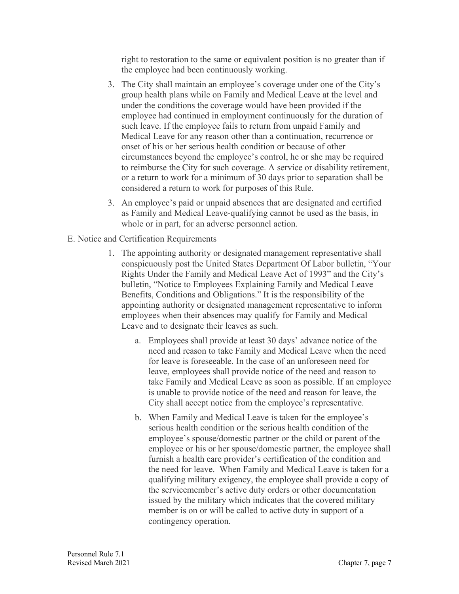right to restoration to the same or equivalent position is no greater than if the employee had been continuously working.

- 3. The City shall maintain an employee's coverage under one of the City's group health plans while on Family and Medical Leave at the level and under the conditions the coverage would have been provided if the employee had continued in employment continuously for the duration of such leave. If the employee fails to return from unpaid Family and Medical Leave for any reason other than a continuation, recurrence or onset of his or her serious health condition or because of other circumstances beyond the employee's control, he or she may be required to reimburse the City for such coverage. A service or disability retirement, or a return to work for a minimum of 30 days prior to separation shall be considered a return to work for purposes of this Rule.
- 3. An employee's paid or unpaid absences that are designated and certified as Family and Medical Leave-qualifying cannot be used as the basis, in whole or in part, for an adverse personnel action.
- E. Notice and Certification Requirements
	- 1. The appointing authority or designated management representative shall conspicuously post the United States Department Of Labor bulletin, "Your Rights Under the Family and Medical Leave Act of 1993" and the City's bulletin, "Notice to Employees Explaining Family and Medical Leave Benefits, Conditions and Obligations." It is the responsibility of the appointing authority or designated management representative to inform employees when their absences may qualify for Family and Medical Leave and to designate their leaves as such.
		- a. Employees shall provide at least 30 days' advance notice of the need and reason to take Family and Medical Leave when the need for leave is foreseeable. In the case of an unforeseen need for leave, employees shall provide notice of the need and reason to take Family and Medical Leave as soon as possible. If an employee is unable to provide notice of the need and reason for leave, the City shall accept notice from the employee's representative.
		- b. When Family and Medical Leave is taken for the employee's serious health condition or the serious health condition of the employee's spouse/domestic partner or the child or parent of the employee or his or her spouse/domestic partner, the employee shall furnish a health care provider's certification of the condition and the need for leave. When Family and Medical Leave is taken for a qualifying military exigency, the employee shall provide a copy of the servicemember's active duty orders or other documentation issued by the military which indicates that the covered military member is on or will be called to active duty in support of a contingency operation.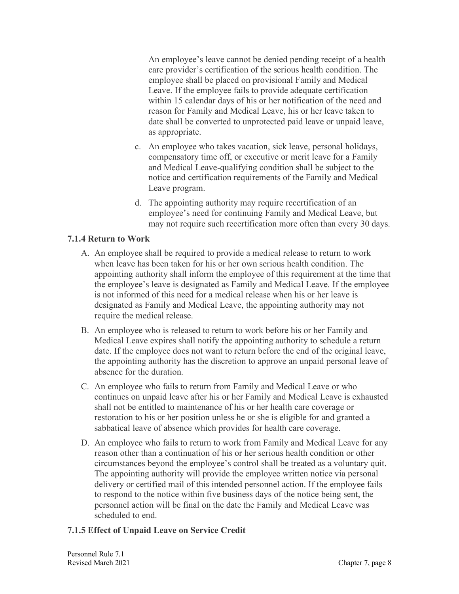An employee's leave cannot be denied pending receipt of a health care provider's certification of the serious health condition. The employee shall be placed on provisional Family and Medical Leave. If the employee fails to provide adequate certification within 15 calendar days of his or her notification of the need and reason for Family and Medical Leave, his or her leave taken to date shall be converted to unprotected paid leave or unpaid leave, as appropriate.

- c. An employee who takes vacation, sick leave, personal holidays, compensatory time off, or executive or merit leave for a Family and Medical Leave-qualifying condition shall be subject to the notice and certification requirements of the Family and Medical Leave program.
- d. The appointing authority may require recertification of an employee's need for continuing Family and Medical Leave, but may not require such recertification more often than every 30 days.

#### **7.1.4 Return to Work**

- A. An employee shall be required to provide a medical release to return to work when leave has been taken for his or her own serious health condition. The appointing authority shall inform the employee of this requirement at the time that the employee's leave is designated as Family and Medical Leave. If the employee is not informed of this need for a medical release when his or her leave is designated as Family and Medical Leave, the appointing authority may not require the medical release.
- B. An employee who is released to return to work before his or her Family and Medical Leave expires shall notify the appointing authority to schedule a return date. If the employee does not want to return before the end of the original leave, the appointing authority has the discretion to approve an unpaid personal leave of absence for the duration.
- C. An employee who fails to return from Family and Medical Leave or who continues on unpaid leave after his or her Family and Medical Leave is exhausted shall not be entitled to maintenance of his or her health care coverage or restoration to his or her position unless he or she is eligible for and granted a sabbatical leave of absence which provides for health care coverage.
- D. An employee who fails to return to work from Family and Medical Leave for any reason other than a continuation of his or her serious health condition or other circumstances beyond the employee's control shall be treated as a voluntary quit. The appointing authority will provide the employee written notice via personal delivery or certified mail of this intended personnel action. If the employee fails to respond to the notice within five business days of the notice being sent, the personnel action will be final on the date the Family and Medical Leave was scheduled to end.

# **7.1.5 Effect of Unpaid Leave on Service Credit**

Personnel Rule 7.1 Revised March 2021 Chapter 7, page 8